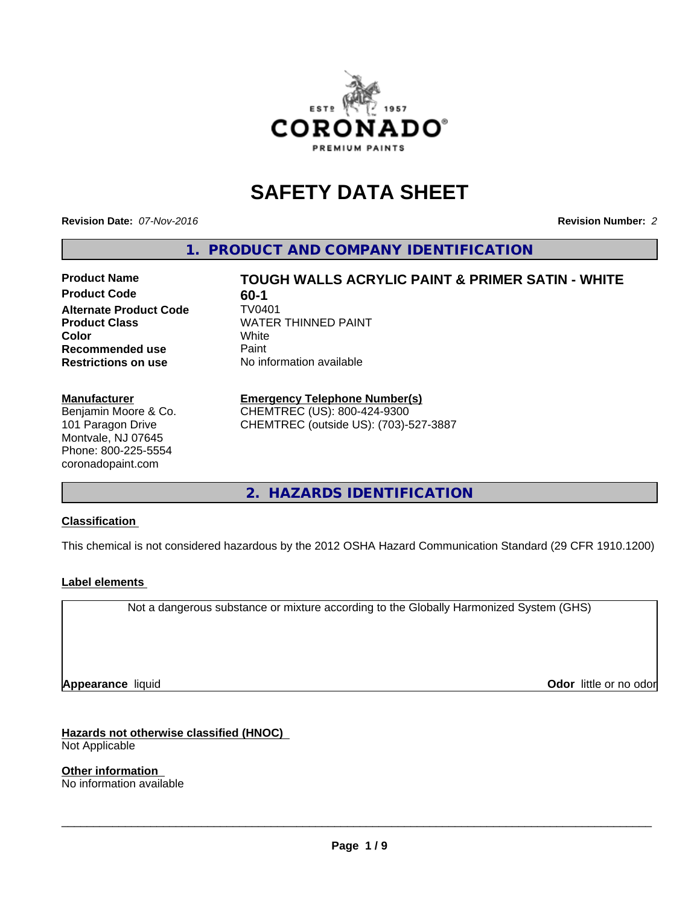

# **SAFETY DATA SHEET**

**Revision Date:** *07-Nov-2016* **Revision Number:** *2*

**1. PRODUCT AND COMPANY IDENTIFICATION**

**Product Code** 60-1<br> **Alternate Product Code** TV0401 **Alternate Product Code Recommended use** Paint **Restrictions on use** No information available

**Product Name TOUGH WALLS ACRYLIC PAINT & PRIMER SATIN - WHITE Product Class** WATER THINNED PAINT<br> **Color** White **Color** White

#### **Manufacturer**

Benjamin Moore & Co. 101 Paragon Drive Montvale, NJ 07645 Phone: 800-225-5554 coronadopaint.com

# **Emergency Telephone Number(s)**

CHEMTREC (US): 800-424-9300 CHEMTREC (outside US): (703)-527-3887

**2. HAZARDS IDENTIFICATION**

#### **Classification**

This chemical is not considered hazardous by the 2012 OSHA Hazard Communication Standard (29 CFR 1910.1200)

#### **Label elements**

Not a dangerous substance or mixture according to the Globally Harmonized System (GHS)

**Appearance** liquid

**Odor** little or no odor

#### **Hazards not otherwise classified (HNOC)**

Not Applicable

**Other information** No information available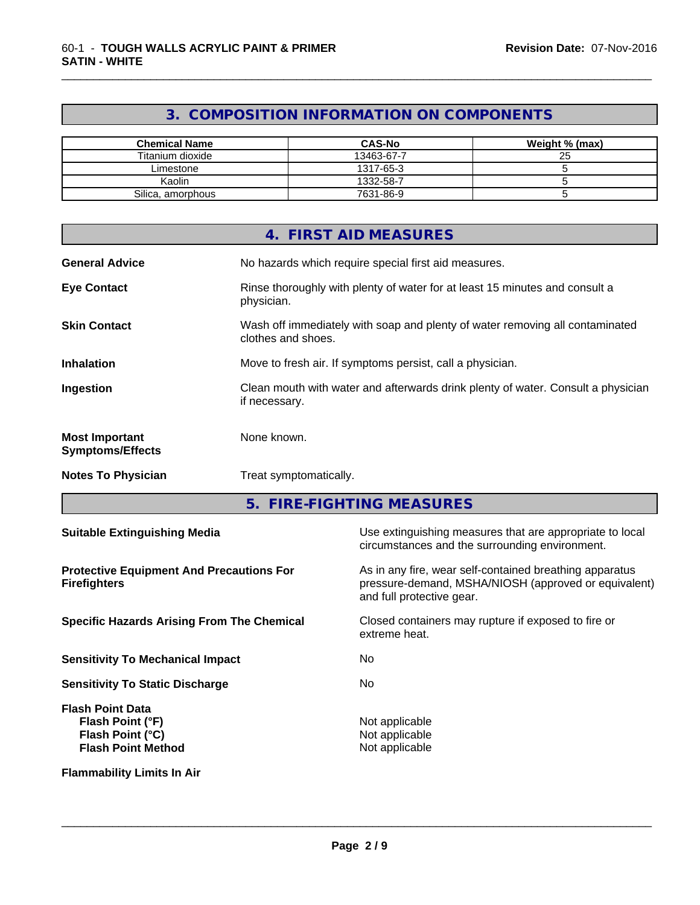# **3. COMPOSITION INFORMATION ON COMPONENTS**

\_\_\_\_\_\_\_\_\_\_\_\_\_\_\_\_\_\_\_\_\_\_\_\_\_\_\_\_\_\_\_\_\_\_\_\_\_\_\_\_\_\_\_\_\_\_\_\_\_\_\_\_\_\_\_\_\_\_\_\_\_\_\_\_\_\_\_\_\_\_\_\_\_\_\_\_\_\_\_\_\_\_\_\_\_\_\_\_\_\_\_\_\_

| <b>Chemical Name</b> | <b>CAS-No</b> | Weight % (max) |
|----------------------|---------------|----------------|
| Titanium dioxide     | 13463-67-7    | 25             |
| Limestone            | 1317-65-3     |                |
| Kaolin               | 1332-58-7     |                |
| Silica, amorphous    | 7631-86-9     |                |

|                                                  | 4. FIRST AID MEASURES                                                                              |
|--------------------------------------------------|----------------------------------------------------------------------------------------------------|
| <b>General Advice</b>                            | No hazards which require special first aid measures.                                               |
| <b>Eye Contact</b>                               | Rinse thoroughly with plenty of water for at least 15 minutes and consult a<br>physician.          |
| <b>Skin Contact</b>                              | Wash off immediately with soap and plenty of water removing all contaminated<br>clothes and shoes. |
| <b>Inhalation</b>                                | Move to fresh air. If symptoms persist, call a physician.                                          |
| Ingestion                                        | Clean mouth with water and afterwards drink plenty of water. Consult a physician<br>if necessary.  |
| <b>Most Important</b><br><b>Symptoms/Effects</b> | None known.                                                                                        |
| <b>Notes To Physician</b>                        | Treat symptomatically.                                                                             |

**5. FIRE-FIGHTING MEASURES**

| <b>Suitable Extinguishing Media</b>                                                          | Use extinguishing measures that are appropriate to local<br>circumstances and the surrounding environment.                                   |
|----------------------------------------------------------------------------------------------|----------------------------------------------------------------------------------------------------------------------------------------------|
| <b>Protective Equipment And Precautions For</b><br><b>Firefighters</b>                       | As in any fire, wear self-contained breathing apparatus<br>pressure-demand, MSHA/NIOSH (approved or equivalent)<br>and full protective gear. |
| <b>Specific Hazards Arising From The Chemical</b>                                            | Closed containers may rupture if exposed to fire or<br>extreme heat.                                                                         |
| <b>Sensitivity To Mechanical Impact</b>                                                      | No.                                                                                                                                          |
| <b>Sensitivity To Static Discharge</b>                                                       | No.                                                                                                                                          |
| <b>Flash Point Data</b><br>Flash Point (°F)<br>Flash Point (°C)<br><b>Flash Point Method</b> | Not applicable<br>Not applicable<br>Not applicable                                                                                           |
| <b>Flammability Limits In Air</b>                                                            |                                                                                                                                              |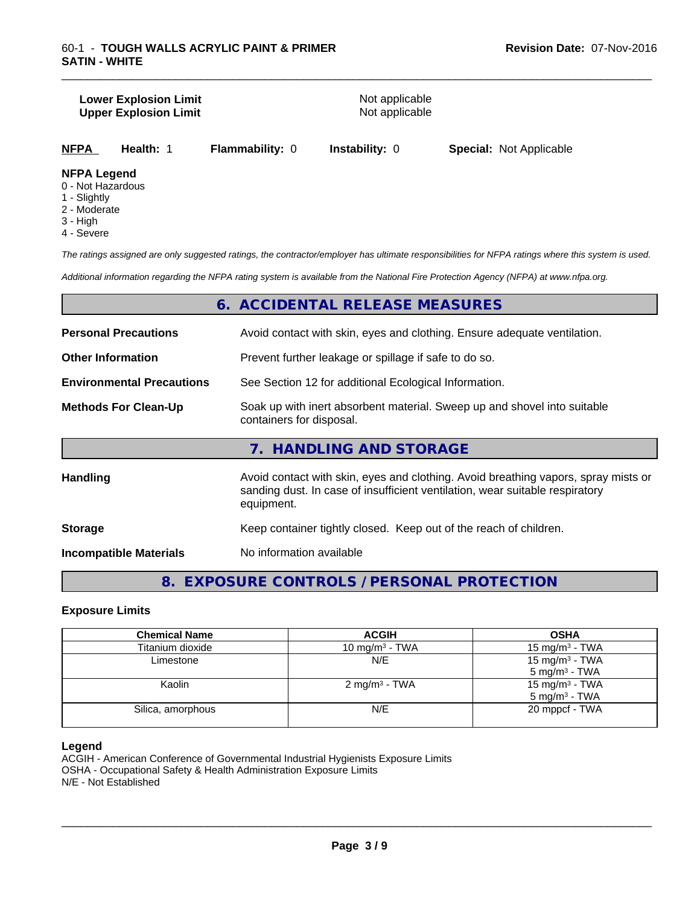#### **Lower Explosion Limit**<br> **Upper Explosion Limit**<br>
Upper Explosion Limit **Upper Explosion Limit**

\_\_\_\_\_\_\_\_\_\_\_\_\_\_\_\_\_\_\_\_\_\_\_\_\_\_\_\_\_\_\_\_\_\_\_\_\_\_\_\_\_\_\_\_\_\_\_\_\_\_\_\_\_\_\_\_\_\_\_\_\_\_\_\_\_\_\_\_\_\_\_\_\_\_\_\_\_\_\_\_\_\_\_\_\_\_\_\_\_\_\_\_\_

**NFPA Health:** 1 **Flammability:** 0 **Instability:** 0 **Special:** Not Applicable

#### **NFPA Legend**

- 0 Not Hazardous
- 1 Slightly
- 2 Moderate
- 3 High
- 4 Severe

*The ratings assigned are only suggested ratings, the contractor/employer has ultimate responsibilities for NFPA ratings where this system is used.*

*Additional information regarding the NFPA rating system is available from the National Fire Protection Agency (NFPA) at www.nfpa.org.*

# **6. ACCIDENTAL RELEASE MEASURES**

| <b>Personal Precautions</b>      | Avoid contact with skin, eyes and clothing. Ensure adequate ventilation.                                                                                                         |  |  |
|----------------------------------|----------------------------------------------------------------------------------------------------------------------------------------------------------------------------------|--|--|
| <b>Other Information</b>         | Prevent further leakage or spillage if safe to do so.                                                                                                                            |  |  |
| <b>Environmental Precautions</b> | See Section 12 for additional Ecological Information.                                                                                                                            |  |  |
| <b>Methods For Clean-Up</b>      | Soak up with inert absorbent material. Sweep up and shovel into suitable<br>containers for disposal.                                                                             |  |  |
|                                  | 7. HANDLING AND STORAGE                                                                                                                                                          |  |  |
| <b>Handling</b>                  | Avoid contact with skin, eyes and clothing. Avoid breathing vapors, spray mists or<br>sanding dust. In case of insufficient ventilation, wear suitable respiratory<br>equipment. |  |  |

| <b>Storage</b> | Keep container tightly closed. Keep out of the reach of children. |  |
|----------------|-------------------------------------------------------------------|--|
|----------------|-------------------------------------------------------------------|--|

**Incompatible Materials** No information available

**8. EXPOSURE CONTROLS / PERSONAL PROTECTION**

#### **Exposure Limits**

| <b>Chemical Name</b> | <b>ACGIH</b>             | <b>OSHA</b>                |
|----------------------|--------------------------|----------------------------|
| Titanium dioxide     | 10 mg/m $3$ - TWA        | 15 mg/m $3$ - TWA          |
| Limestone            | N/E                      | 15 mg/m $3$ - TWA          |
|                      |                          | $5 \text{ mg/m}^3$ - TWA   |
| Kaolin               | $2 \text{ mg/m}^3$ - TWA | 15 mg/m <sup>3</sup> - TWA |
|                      |                          | $5 \text{ mg/m}^3$ - TWA   |
| Silica, amorphous    | N/E                      | 20 mppcf - TWA             |
|                      |                          |                            |

#### **Legend**

ACGIH - American Conference of Governmental Industrial Hygienists Exposure Limits OSHA - Occupational Safety & Health Administration Exposure Limits N/E - Not Established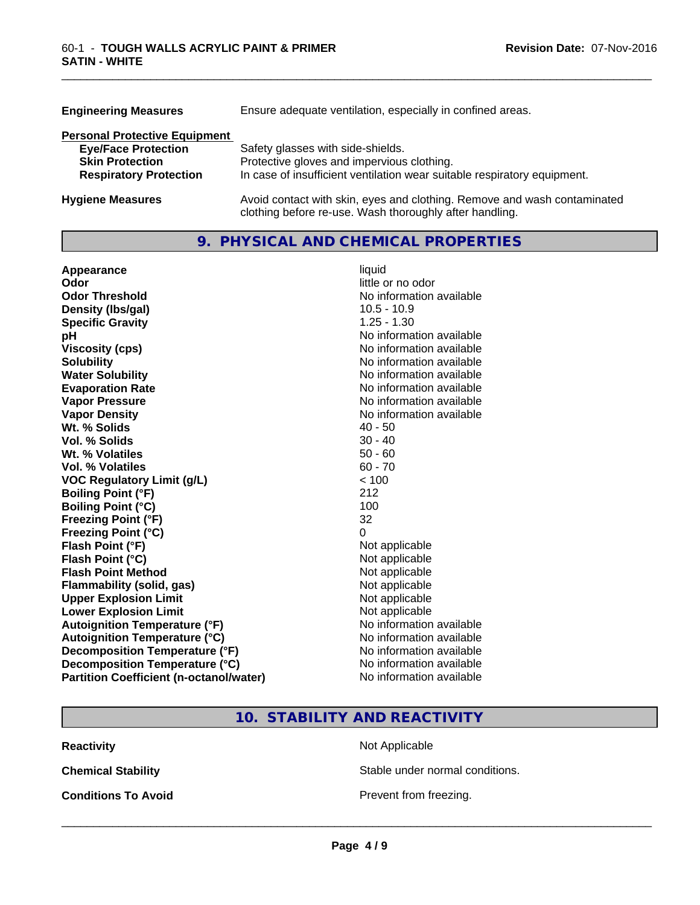| <b>Engineering Measures</b>          | Ensure adequate ventilation, especially in confined areas.                                                                          |
|--------------------------------------|-------------------------------------------------------------------------------------------------------------------------------------|
| <b>Personal Protective Equipment</b> |                                                                                                                                     |
| <b>Eye/Face Protection</b>           | Safety glasses with side-shields.                                                                                                   |
| <b>Skin Protection</b>               | Protective gloves and impervious clothing.                                                                                          |
| <b>Respiratory Protection</b>        | In case of insufficient ventilation wear suitable respiratory equipment.                                                            |
| <b>Hygiene Measures</b>              | Avoid contact with skin, eyes and clothing. Remove and wash contaminated<br>clothing before re-use. Wash thoroughly after handling. |

### **9. PHYSICAL AND CHEMICAL PROPERTIES**

\_\_\_\_\_\_\_\_\_\_\_\_\_\_\_\_\_\_\_\_\_\_\_\_\_\_\_\_\_\_\_\_\_\_\_\_\_\_\_\_\_\_\_\_\_\_\_\_\_\_\_\_\_\_\_\_\_\_\_\_\_\_\_\_\_\_\_\_\_\_\_\_\_\_\_\_\_\_\_\_\_\_\_\_\_\_\_\_\_\_\_\_\_

| Appearance                                     | liquid                   |
|------------------------------------------------|--------------------------|
| Odor                                           | little or no odor        |
| <b>Odor Threshold</b>                          | No information available |
| Density (Ibs/gal)                              | $10.5 - 10.9$            |
| <b>Specific Gravity</b>                        | $1.25 - 1.30$            |
| рH                                             | No information available |
| <b>Viscosity (cps)</b>                         | No information available |
| <b>Solubility</b>                              | No information available |
| <b>Water Solubility</b>                        | No information available |
| <b>Evaporation Rate</b>                        | No information available |
| <b>Vapor Pressure</b>                          | No information available |
| <b>Vapor Density</b>                           | No information available |
| Wt. % Solids                                   | $40 - 50$                |
| Vol. % Solids                                  | $30 - 40$                |
| Wt. % Volatiles                                | $50 - 60$                |
| Vol. % Volatiles                               | $60 - 70$                |
| <b>VOC Regulatory Limit (g/L)</b>              | < 100                    |
| <b>Boiling Point (°F)</b>                      | 212                      |
| <b>Boiling Point (°C)</b>                      | 100                      |
| <b>Freezing Point (°F)</b>                     | 32                       |
| <b>Freezing Point (°C)</b>                     | $\Omega$                 |
| Flash Point (°F)                               | Not applicable           |
| Flash Point (°C)                               | Not applicable           |
| <b>Flash Point Method</b>                      | Not applicable           |
| <b>Flammability (solid, gas)</b>               | Not applicable           |
| <b>Upper Explosion Limit</b>                   | Not applicable           |
| <b>Lower Explosion Limit</b>                   | Not applicable           |
| <b>Autoignition Temperature (°F)</b>           | No information available |
| <b>Autoignition Temperature (°C)</b>           | No information available |
| Decomposition Temperature (°F)                 | No information available |
| Decomposition Temperature (°C)                 | No information available |
| <b>Partition Coefficient (n-octanol/water)</b> | No information available |

# **10. STABILITY AND REACTIVITY**

**Reactivity Not Applicable** 

**Chemical Stability Chemical Stability** Stable under normal conditions.

**Conditions To Avoid Prevent from freezing.**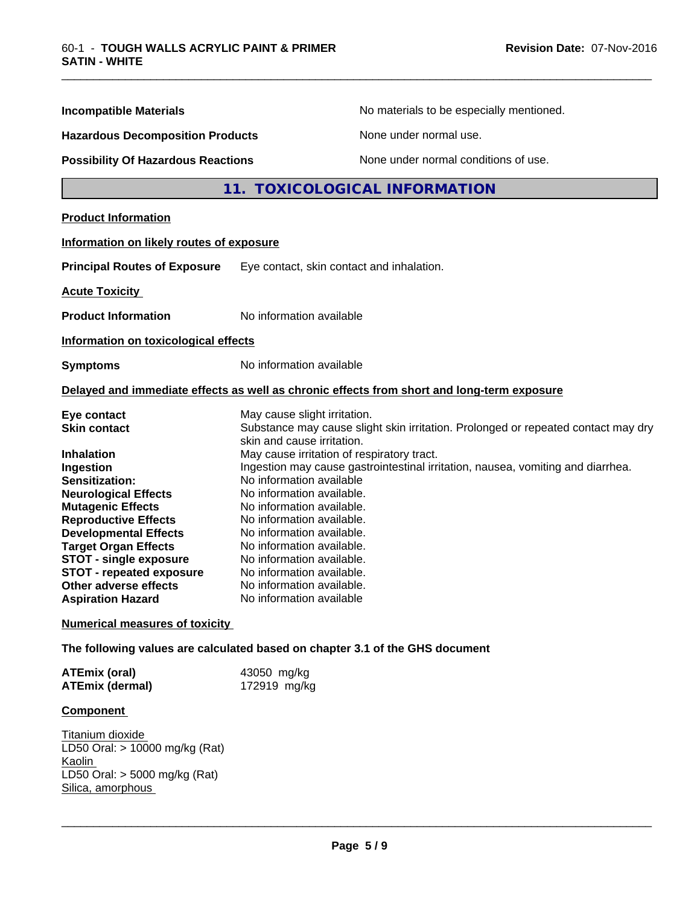| <b>Incompatible Materials</b>                                                                                                                                                                                                                                                                                                                | No materials to be especially mentioned.                                                                                                                                                                                                                                                                                                                                                                                                                                                                                                             |  |  |
|----------------------------------------------------------------------------------------------------------------------------------------------------------------------------------------------------------------------------------------------------------------------------------------------------------------------------------------------|------------------------------------------------------------------------------------------------------------------------------------------------------------------------------------------------------------------------------------------------------------------------------------------------------------------------------------------------------------------------------------------------------------------------------------------------------------------------------------------------------------------------------------------------------|--|--|
|                                                                                                                                                                                                                                                                                                                                              |                                                                                                                                                                                                                                                                                                                                                                                                                                                                                                                                                      |  |  |
| <b>Hazardous Decomposition Products</b>                                                                                                                                                                                                                                                                                                      | None under normal use.                                                                                                                                                                                                                                                                                                                                                                                                                                                                                                                               |  |  |
| <b>Possibility Of Hazardous Reactions</b>                                                                                                                                                                                                                                                                                                    | None under normal conditions of use.                                                                                                                                                                                                                                                                                                                                                                                                                                                                                                                 |  |  |
|                                                                                                                                                                                                                                                                                                                                              | 11. TOXICOLOGICAL INFORMATION                                                                                                                                                                                                                                                                                                                                                                                                                                                                                                                        |  |  |
| <b>Product Information</b>                                                                                                                                                                                                                                                                                                                   |                                                                                                                                                                                                                                                                                                                                                                                                                                                                                                                                                      |  |  |
| Information on likely routes of exposure                                                                                                                                                                                                                                                                                                     |                                                                                                                                                                                                                                                                                                                                                                                                                                                                                                                                                      |  |  |
| <b>Principal Routes of Exposure</b>                                                                                                                                                                                                                                                                                                          | Eye contact, skin contact and inhalation.                                                                                                                                                                                                                                                                                                                                                                                                                                                                                                            |  |  |
| <b>Acute Toxicity</b>                                                                                                                                                                                                                                                                                                                        |                                                                                                                                                                                                                                                                                                                                                                                                                                                                                                                                                      |  |  |
| <b>Product Information</b>                                                                                                                                                                                                                                                                                                                   | No information available                                                                                                                                                                                                                                                                                                                                                                                                                                                                                                                             |  |  |
| Information on toxicological effects                                                                                                                                                                                                                                                                                                         |                                                                                                                                                                                                                                                                                                                                                                                                                                                                                                                                                      |  |  |
| <b>Symptoms</b>                                                                                                                                                                                                                                                                                                                              | No information available                                                                                                                                                                                                                                                                                                                                                                                                                                                                                                                             |  |  |
|                                                                                                                                                                                                                                                                                                                                              | Delayed and immediate effects as well as chronic effects from short and long-term exposure                                                                                                                                                                                                                                                                                                                                                                                                                                                           |  |  |
| Eye contact<br><b>Skin contact</b><br><b>Inhalation</b><br>Ingestion<br>Sensitization:<br><b>Neurological Effects</b><br><b>Mutagenic Effects</b><br><b>Reproductive Effects</b><br><b>Developmental Effects</b><br><b>Target Organ Effects</b><br><b>STOT - single exposure</b><br><b>STOT - repeated exposure</b><br>Other adverse effects | May cause slight irritation.<br>Substance may cause slight skin irritation. Prolonged or repeated contact may dry<br>skin and cause irritation.<br>May cause irritation of respiratory tract.<br>Ingestion may cause gastrointestinal irritation, nausea, vomiting and diarrhea.<br>No information available<br>No information available.<br>No information available.<br>No information available.<br>No information available.<br>No information available.<br>No information available.<br>No information available.<br>No information available. |  |  |
| <b>Aspiration Hazard</b>                                                                                                                                                                                                                                                                                                                     | No information available                                                                                                                                                                                                                                                                                                                                                                                                                                                                                                                             |  |  |
| <b>Numerical measures of toxicity</b>                                                                                                                                                                                                                                                                                                        |                                                                                                                                                                                                                                                                                                                                                                                                                                                                                                                                                      |  |  |

\_\_\_\_\_\_\_\_\_\_\_\_\_\_\_\_\_\_\_\_\_\_\_\_\_\_\_\_\_\_\_\_\_\_\_\_\_\_\_\_\_\_\_\_\_\_\_\_\_\_\_\_\_\_\_\_\_\_\_\_\_\_\_\_\_\_\_\_\_\_\_\_\_\_\_\_\_\_\_\_\_\_\_\_\_\_\_\_\_\_\_\_\_

**The following values are calculated based on chapter 3.1 of the GHS document**

| <b>ATEmix (oral)</b>   | 43050 mg/kg  |
|------------------------|--------------|
| <b>ATEmix (dermal)</b> | 172919 mg/kg |

#### **Component**

Titanium dioxide LD50 Oral: > 10000 mg/kg (Rat) Kaolin LD50 Oral: > 5000 mg/kg (Rat) Silica, amorphous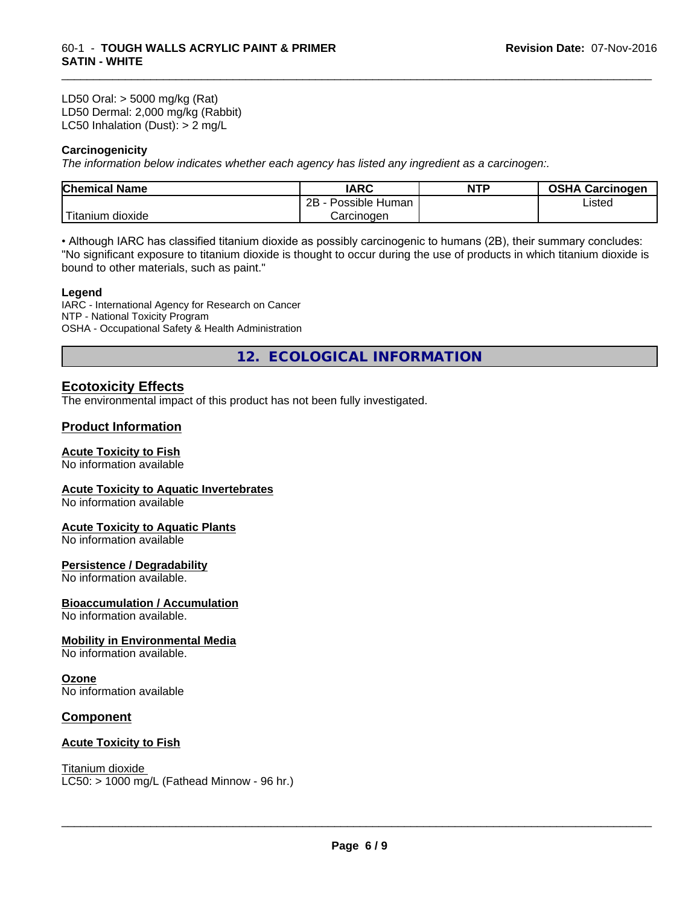LD50 Oral: > 5000 mg/kg (Rat) LD50 Dermal: 2,000 mg/kg (Rabbit) LC50 Inhalation (Dust): > 2 mg/L

#### **Carcinogenicity**

*The information below indicateswhether each agency has listed any ingredient as a carcinogen:.*

| <b>Chemical Name</b>               | <b>IARC</b>          | <b>NTP</b> | <b>OSHA Carcinogen</b> |
|------------------------------------|----------------------|------------|------------------------|
|                                    | 2B<br>Possible Human |            | Listed                 |
| $-1$<br>dioxide<br><b>Titanium</b> | Carcinogen           |            |                        |

\_\_\_\_\_\_\_\_\_\_\_\_\_\_\_\_\_\_\_\_\_\_\_\_\_\_\_\_\_\_\_\_\_\_\_\_\_\_\_\_\_\_\_\_\_\_\_\_\_\_\_\_\_\_\_\_\_\_\_\_\_\_\_\_\_\_\_\_\_\_\_\_\_\_\_\_\_\_\_\_\_\_\_\_\_\_\_\_\_\_\_\_\_

• Although IARC has classified titanium dioxide as possibly carcinogenic to humans (2B), their summary concludes: "No significant exposure to titanium dioxide is thought to occur during the use of products in which titanium dioxide is bound to other materials, such as paint."

#### **Legend**

IARC - International Agency for Research on Cancer NTP - National Toxicity Program OSHA - Occupational Safety & Health Administration

**12. ECOLOGICAL INFORMATION**

## **Ecotoxicity Effects**

The environmental impact of this product has not been fully investigated.

### **Product Information**

# **Acute Toxicity to Fish**

No information available

#### **Acute Toxicity to Aquatic Invertebrates**

No information available

#### **Acute Toxicity to Aquatic Plants**

No information available

#### **Persistence / Degradability**

No information available.

# **Bioaccumulation / Accumulation**

No information available.

### **Mobility in Environmental Media**

No information available.

# **Ozone**

No information available

#### **Component**

#### **Acute Toxicity to Fish**

Titanium dioxide  $LC50:$  > 1000 mg/L (Fathead Minnow - 96 hr.)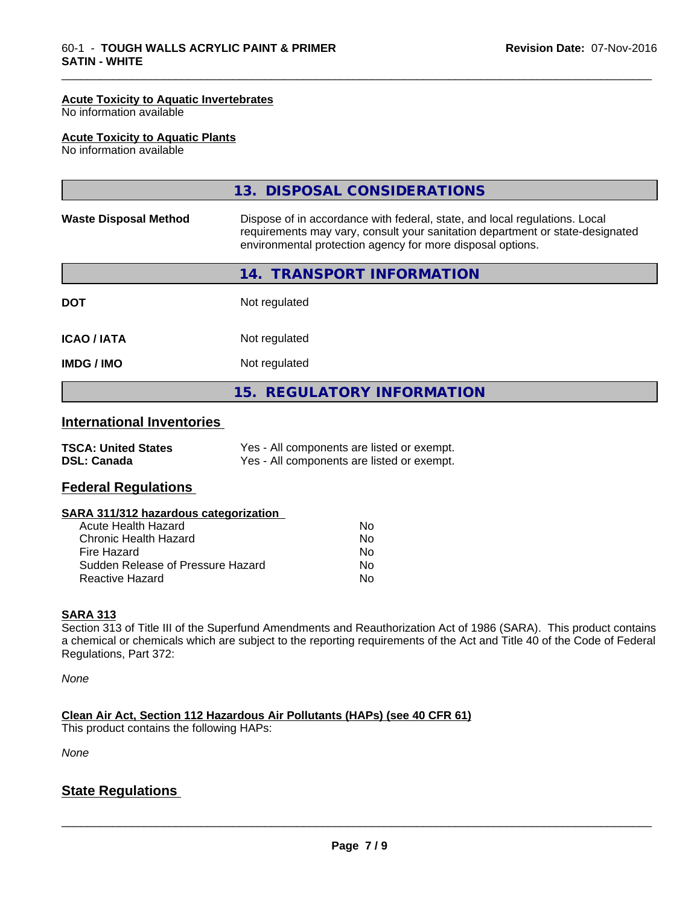#### **Acute Toxicity to Aquatic Invertebrates**

No information available

#### **Acute Toxicity to Aquatic Plants**

No information available

|                                  | 13. DISPOSAL CONSIDERATIONS                                                                                                                                                                                               |
|----------------------------------|---------------------------------------------------------------------------------------------------------------------------------------------------------------------------------------------------------------------------|
| <b>Waste Disposal Method</b>     | Dispose of in accordance with federal, state, and local regulations. Local<br>requirements may vary, consult your sanitation department or state-designated<br>environmental protection agency for more disposal options. |
|                                  | 14. TRANSPORT INFORMATION                                                                                                                                                                                                 |
| <b>DOT</b>                       | Not regulated                                                                                                                                                                                                             |
| <b>ICAO/IATA</b>                 | Not regulated                                                                                                                                                                                                             |
| <b>IMDG/IMO</b>                  | Not regulated                                                                                                                                                                                                             |
|                                  | 15. REGULATORY INFORMATION                                                                                                                                                                                                |
| <b>International Inventories</b> |                                                                                                                                                                                                                           |
| <b>TSCA: United States</b>       | Yes - All components are listed or exempt.                                                                                                                                                                                |

\_\_\_\_\_\_\_\_\_\_\_\_\_\_\_\_\_\_\_\_\_\_\_\_\_\_\_\_\_\_\_\_\_\_\_\_\_\_\_\_\_\_\_\_\_\_\_\_\_\_\_\_\_\_\_\_\_\_\_\_\_\_\_\_\_\_\_\_\_\_\_\_\_\_\_\_\_\_\_\_\_\_\_\_\_\_\_\_\_\_\_\_\_

**DSL: Canada** Yes - All components are listed or exempt.

#### **Federal Regulations**

| SARA 311/312 hazardous categorization |    |  |
|---------------------------------------|----|--|
| Acute Health Hazard                   | No |  |
| Chronic Health Hazard                 | Nο |  |
| Fire Hazard                           | Nο |  |
| Sudden Release of Pressure Hazard     | N٥ |  |

Reactive Hazard No

#### **SARA 313**

Section 313 of Title III of the Superfund Amendments and Reauthorization Act of 1986 (SARA). This product contains a chemical or chemicals which are subject to the reporting requirements of the Act and Title 40 of the Code of Federal Regulations, Part 372:

*None*

**Clean Air Act,Section 112 Hazardous Air Pollutants (HAPs) (see 40 CFR 61)**

This product contains the following HAPs:

*None*

## **State Regulations**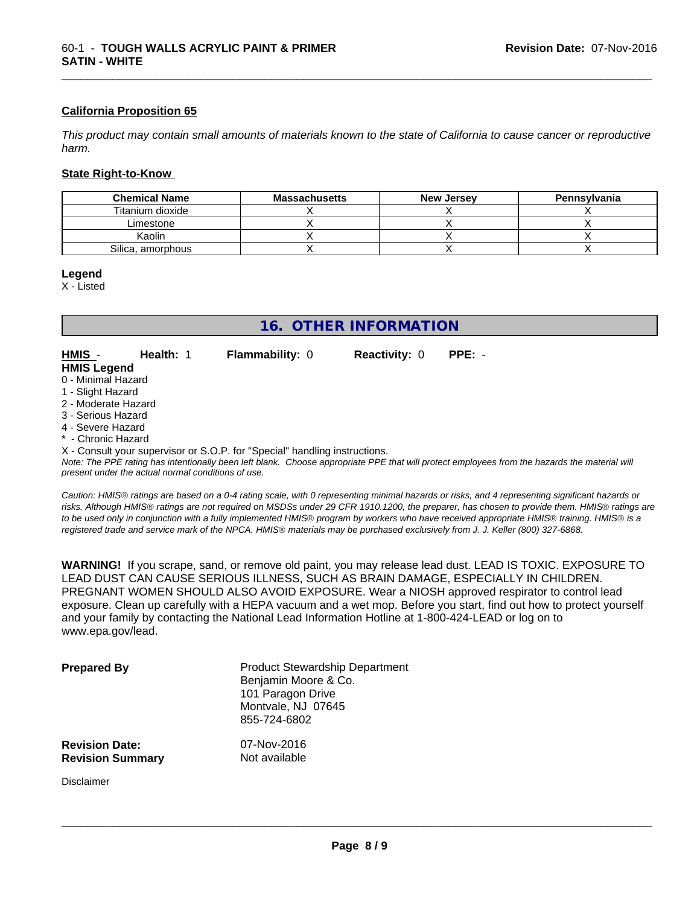#### **California Proposition 65**

This product may contain small amounts of materials known to the state of California to cause cancer or reproductive *harm.*

#### **State Right-to-Know**

| <b>Chemical Name</b> | <b>Massachusetts</b> | <b>New Jersey</b> | Pennsylvania |
|----------------------|----------------------|-------------------|--------------|
| Titanium dioxide     |                      |                   |              |
| Limestone            |                      |                   |              |
| Kaolin               |                      |                   |              |
| Silica, amorphous    |                      |                   |              |

#### **Legend**

X - Listed

# **16. OTHER INFORMATION**

**HMIS** - **Health:** 1 **Flammability:** 0 **Reactivity:** 0 **PPE:** - **HMIS Legend**

\_\_\_\_\_\_\_\_\_\_\_\_\_\_\_\_\_\_\_\_\_\_\_\_\_\_\_\_\_\_\_\_\_\_\_\_\_\_\_\_\_\_\_\_\_\_\_\_\_\_\_\_\_\_\_\_\_\_\_\_\_\_\_\_\_\_\_\_\_\_\_\_\_\_\_\_\_\_\_\_\_\_\_\_\_\_\_\_\_\_\_\_\_

#### 0 - Minimal Hazard

- 1 Slight Hazard
- 2 Moderate Hazard
- 3 Serious Hazard
- 4 Severe Hazard
- **Chronic Hazard**

X - Consult your supervisor or S.O.P. for "Special" handling instructions.

*Note: The PPE rating has intentionally been left blank. Choose appropriate PPE that will protect employees from the hazards the material will present under the actual normal conditions of use.*

*Caution: HMISÒ ratings are based on a 0-4 rating scale, with 0 representing minimal hazards or risks, and 4 representing significant hazards or risks. Although HMISÒ ratings are not required on MSDSs under 29 CFR 1910.1200, the preparer, has chosen to provide them. HMISÒ ratings are to be used only in conjunction with a fully implemented HMISÒ program by workers who have received appropriate HMISÒ training. HMISÒ is a registered trade and service mark of the NPCA. HMISÒ materials may be purchased exclusively from J. J. Keller (800) 327-6868.*

**WARNING!** If you scrape, sand, or remove old paint, you may release lead dust. LEAD IS TOXIC. EXPOSURE TO LEAD DUST CAN CAUSE SERIOUS ILLNESS, SUCH AS BRAIN DAMAGE, ESPECIALLY IN CHILDREN. PREGNANT WOMEN SHOULD ALSO AVOID EXPOSURE.Wear a NIOSH approved respirator to control lead exposure. Clean up carefully with a HEPA vacuum and a wet mop. Before you start, find out how to protect yourself and your family by contacting the National Lead Information Hotline at 1-800-424-LEAD or log on to www.epa.gov/lead.

| <b>Prepared By</b>      | <b>Product Stewardship Department</b><br>Benjamin Moore & Co.<br>101 Paragon Drive<br>Montvale, NJ 07645<br>855-724-6802 |
|-------------------------|--------------------------------------------------------------------------------------------------------------------------|
| <b>Revision Date:</b>   | 07-Nov-2016                                                                                                              |
| <b>Revision Summary</b> | Not available                                                                                                            |

Disclaimer